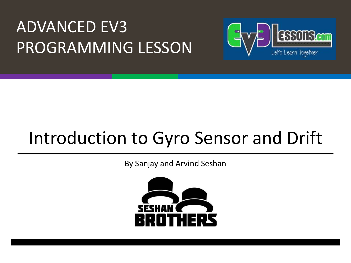### ADVANCED EV3 PROGRAMMING LESSON



# Introduction to Gyro Sensor and Drift

By Sanjay and Arvind Seshan

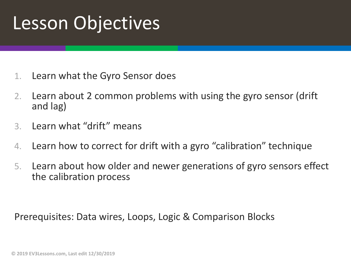## Lesson Objectives

- 1. Learn what the Gyro Sensor does
- 2. Learn about 2 common problems with using the gyro sensor (drift and lag)
- 3. Learn what "drift" means
- 4. Learn how to correct for drift with a gyro "calibration" technique
- 5. Learn about how older and newer generations of gyro sensors effect the calibration process

Prerequisites: Data wires, Loops, Logic & Comparison Blocks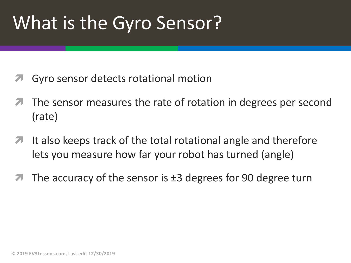# What is the Gyro Sensor?

- Gyro sensor detects rotational motion
- The sensor measures the rate of rotation in degrees per second (rate)
- $\blacktriangleright$  It also keeps track of the total rotational angle and therefore lets you measure how far your robot has turned (angle)
- The accuracy of the sensor is  $\pm 3$  degrees for 90 degree turn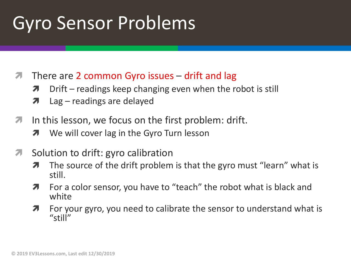# Gyro Sensor Problems

- **7** There are 2 common Gyro issues drift and lag
	- $\lambda$  Drift readings keep changing even when the robot is still
	- $\lambda$  Lag readings are delayed
- $\lambda$  In this lesson, we focus on the first problem: drift.
	- **7** We will cover lag in the Gyro Turn lesson
- **7** Solution to drift: gyro calibration
	- $\lambda$  The source of the drift problem is that the gyro must "learn" what is still.
	- **7** For a color sensor, you have to "teach" the robot what is black and white
	- $\lambda$  For your gyro, you need to calibrate the sensor to understand what is "still"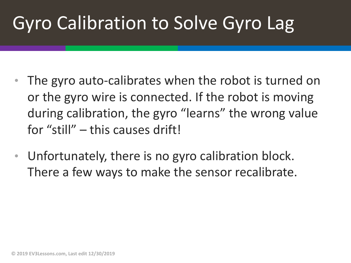# Gyro Calibration to Solve Gyro Lag

- The gyro auto-calibrates when the robot is turned on or the gyro wire is connected. If the robot is moving during calibration, the gyro "learns" the wrong value for "still" – this causes drift!
- Unfortunately, there is no gyro calibration block. There a few ways to make the sensor recalibrate.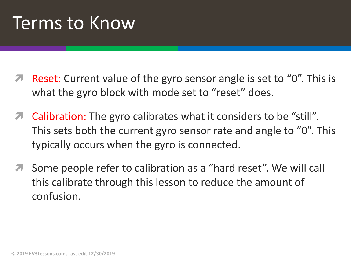### Terms to Know

- Reset: Current value of the gyro sensor angle is set to "0". This is what the gyro block with mode set to "reset" does.
- $\pi$  Calibration: The gyro calibrates what it considers to be "still". This sets both the current gyro sensor rate and angle to "0". This typically occurs when the gyro is connected.
- Some people refer to calibration as a "hard reset". We will call this calibrate through this lesson to reduce the amount of confusion.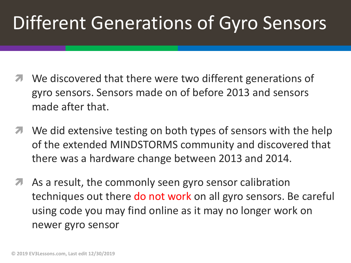# Different Generations of Gyro Sensors

- We discovered that there were two different generations of gyro sensors. Sensors made on of before 2013 and sensors made after that.
- **7** We did extensive testing on both types of sensors with the help of the extended MINDSTORMS community and discovered that there was a hardware change between 2013 and 2014.
- *A* As a result, the commonly seen gyro sensor calibration techniques out there do not work on all gyro sensors. Be careful using code you may find online as it may no longer work on newer gyro sensor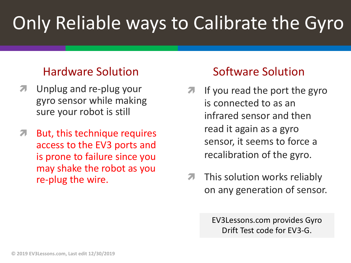# Only Reliable ways to Calibrate the Gyro

#### Hardware Solution

- Unplug and re-plug your gyro sensor while making sure your robot is still
- **7** But, this technique requires access to the EV3 ports and is prone to failure since you may shake the robot as you re-plug the wire.

#### Software Solution

- If you read the port the gyro is connected to as an infrared sensor and then read it again as a gyro sensor, it seems to force a recalibration of the gyro.
- $\pi$  This solution works reliably on any generation of sensor.

EV3Lessons.com provides Gyro Drift Test code for EV3-G.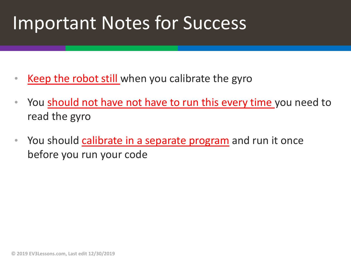### Important Notes for Success

- Keep the robot still when you calibrate the gyro
- You should not have not have to run this every time you need to read the gyro
- You should calibrate in a separate program and run it once before you run your code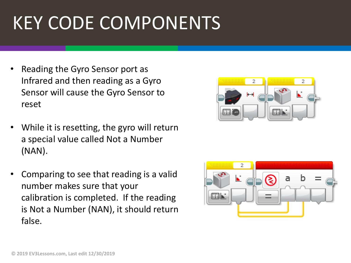# KEY CODE COMPONENTS

- Reading the Gyro Sensor port as Infrared and then reading as a Gyro Sensor will cause the Gyro Sensor to reset
- While it is resetting, the gyro will return a special value called Not a Number (NAN).
- Comparing to see that reading is a valid number makes sure that your calibration is completed. If the reading is Not a Number (NAN), it should return false.



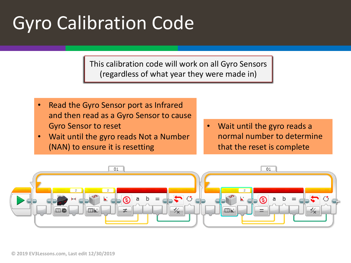# Gyro Calibration Code

This calibration code will work on all Gyro Sensors (regardless of what year they were made in)

- Read the Gyro Sensor port as Infrared and then read as a Gyro Sensor to cause Gyro Sensor to reset
- Wait until the gyro reads Not a Number (NAN) to ensure it is resetting
- Wait until the gyro reads a normal number to determine that the reset is complete

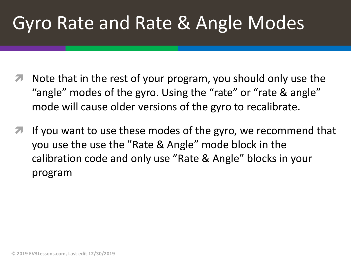# Gyro Rate and Rate & Angle Modes

- Note that in the rest of your program, you should only use the "angle" modes of the gyro. Using the "rate" or "rate & angle" mode will cause older versions of the gyro to recalibrate.
- **7** If you want to use these modes of the gyro, we recommend that you use the use the "Rate & Angle" mode block in the calibration code and only use "Rate & Angle" blocks in your program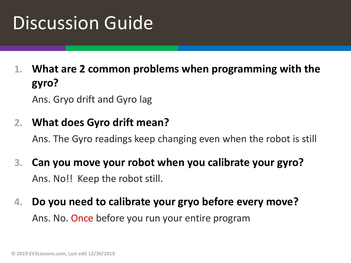# Discussion Guide

**1. What are 2 common problems when programming with the gyro?**

Ans. Gryo drift and Gyro lag

#### **2. What does Gyro drift mean?**

Ans. The Gyro readings keep changing even when the robot is still

- **3. Can you move your robot when you calibrate your gyro?** Ans. No!! Keep the robot still.
- **4. Do you need to calibrate your gryo before every move?** Ans. No. Once before you run your entire program